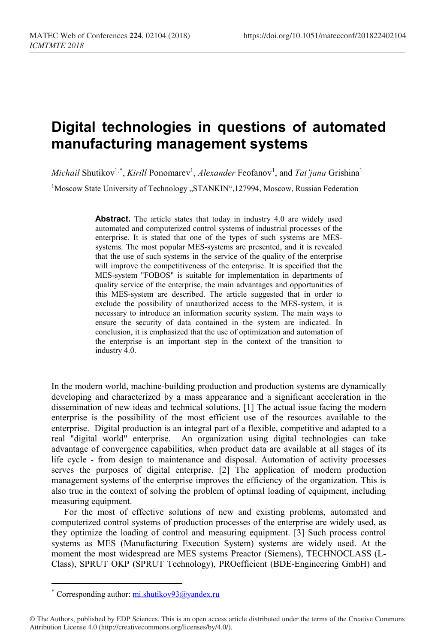## **Digital technologies in questions of automated manufacturing management systems**

*Michail Shutikov<sup>1,[\\*](#page-0-0)</sup>, Kirill Ponomarev<sup>1</sup>, Alexander Feofanov<sup>1</sup>, and <i>Tat'jana* Grishina<sup>1</sup>

<sup>1</sup>Moscow State University of Technology "STANKIN",127994, Moscow, Russian Federation

**Abstract.** The article states that today in industry 4.0 are widely used automated and computerized control systems of industrial processes of the enterprise. It is stated that one of the types of such systems are MESsystems. The most popular MES-systems are presented, and it is revealed that the use of such systems in the service of the quality of the enterprise will improve the competitiveness of the enterprise. It is specified that the MES-system "FOBOS" is suitable for implementation in departments of quality service of the enterprise, the main advantages and opportunities of this MES-system are described. The article suggested that in order to exclude the possibility of unauthorized access to the MES-system, it is necessary to introduce an information security system. The main ways to ensure the security of data contained in the system are indicated. In conclusion, it is emphasized that the use of optimization and automation of the enterprise is an important step in the context of the transition to industry 4.0.

In the modern world, machine-building production and production systems are dynamically developing and characterized by a mass appearance and a significant acceleration in the dissemination of new ideas and technical solutions. [1] The actual issue facing the modern enterprise is the possibility of the most efficient use of the resources available to the enterprise. Digital production is an integral part of a flexible, competitive and adapted to a real "digital world" enterprise. An organization using digital technologies can take advantage of convergence capabilities, when product data are available at all stages of its life cycle - from design to maintenance and disposal. Automation of activity processes serves the purposes of digital enterprise. [2] The application of modern production management systems of the enterprise improves the efficiency of the organization. This is also true in the context of solving the problem of optimal loading of equipment, including measuring equipment.

For the most of effective solutions of new and existing problems, automated and computerized control systems of production processes of the enterprise are widely used, as they optimize the loading of control and measuring equipment. [3] Such process control systems as MES (Manufacturing Execution System) systems are widely used. At the moment the most widespread are MES systems Preactor (Siemens), TECHNOCLASS (L-Class), SPRUT OKP (SPRUT Technology), PROefficient (BDE-Engineering GmbH) and

 $\overline{a}$ 

<sup>\*</sup> Corresponding author:  $\frac{mi.shutikov93(a)}{vandex.}$ ru

<span id="page-0-0"></span><sup>©</sup> The Authors, published by EDP Sciences. This is an open access article distributed under the terms of the Creative Commons Attribution License 4.0 (http://creativecommons.org/licenses/by/4.0/).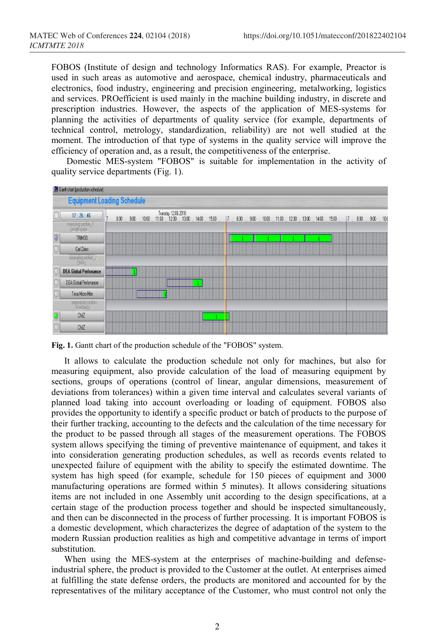FOBOS (Institute of design and technology Informatics RAS). For example, Preactor is used in such areas as automotive and aerospace, chemical industry, pharmaceuticals and electronics, food industry, engineering and precision engineering, metalworking, logistics and services. PROefficient is used mainly in the machine building industry, in discrete and prescription industries. However, the aspects of the application of MES-systems for planning the activities of departments of quality service (for example, departments of technical control, metrology, standardization, reliability) are not well studied at the moment. The introduction of that type of systems in the quality service will improve the efficiency of operation and, as a result, the competitiveness of the enterprise.

Domestic MES-system "FOBOS" is suitable for implementation in the activity of quality service departments (Fig. 1).

| Gantt chat (production schedule) |                                    |  |        |             |       |  |  |                                             |  |  |       |   |         |  |         |             |    |      |  |    |              |                         |       |       |  |                   |  |     |
|----------------------------------|------------------------------------|--|--------|-------------|-------|--|--|---------------------------------------------|--|--|-------|---|---------|--|---------|-------------|----|------|--|----|--------------|-------------------------|-------|-------|--|-------------------|--|-----|
|                                  | <b>Equipment Loading Schedule</b>  |  |        |             |       |  |  |                                             |  |  |       |   |         |  |         |             |    |      |  |    |              |                         |       |       |  |                   |  |     |
|                                  | 17:26:46                           |  |        | $800 - 900$ | 10:00 |  |  | Tuesday 12.06.2018<br>11:00   12:00   13:00 |  |  | 14:00 |   | $15.00$ |  |         | 7, 800, 900 |    | 1000 |  |    |              | $11:00$ $12:00$ $13:00$ | 14:00 | 15:00 |  | 7, 800, 900, 100  |  |     |
|                                  | measuring section_1<br>Length gage |  |        |             |       |  |  |                                             |  |  |       |   |         |  |         |             |    |      |  |    |              |                         |       |       |  |                   |  |     |
| O                                | <b>TRIMDS</b>                      |  | ٠<br>٠ |             |       |  |  |                                             |  |  | ٠     | ٠ |         |  |         |             |    |      |  |    |              |                         |       |       |  | ٠<br>$\mathbf{r}$ |  |     |
|                                  | Carl Zeiss                         |  |        |             |       |  |  | и                                           |  |  |       |   |         |  | ×.<br>× |             | ł. |      |  |    |              |                         |       |       |  | $\mathbf{L}$      |  | H.  |
|                                  | measuring section 2<br>CMM's       |  |        |             |       |  |  |                                             |  |  |       |   |         |  |         |             |    |      |  |    |              |                         |       |       |  |                   |  |     |
|                                  | <b>DEA Global Perfomance</b>       |  |        |             |       |  |  |                                             |  |  |       |   |         |  | ٠       |             |    |      |  |    |              |                         |       |       |  |                   |  |     |
|                                  | DEA Global Perlomance              |  |        |             |       |  |  |                                             |  |  |       |   |         |  |         |             |    |      |  |    |              |                         |       |       |  |                   |  |     |
|                                  | Tesa Micro Hite                    |  |        |             |       |  |  |                                             |  |  |       |   |         |  |         |             |    |      |  |    |              |                         |       |       |  |                   |  | HE. |
|                                  | preparatory section<br>Workbed's   |  |        |             |       |  |  |                                             |  |  |       |   |         |  |         |             |    |      |  |    |              |                         |       |       |  |                   |  |     |
| o                                | ChIZ                               |  | ٠      |             |       |  |  | n.<br>40                                    |  |  |       |   |         |  | ×       |             | п. |      |  | u. | $\mathbf{r}$ |                         |       |       |  | ПT                |  | ПT  |
|                                  | ChIZ                               |  |        |             |       |  |  |                                             |  |  |       |   |         |  |         |             |    |      |  |    |              |                         |       |       |  |                   |  |     |

**Fig. 1.** Gantt chart of the production schedule of the "FOBOS" system.

It allows to calculate the production schedule not only for machines, but also for measuring equipment, also provide calculation of the load of measuring equipment by sections, groups of operations (control of linear, angular dimensions, measurement of deviations from tolerances) within a given time interval and calculates several variants of planned load taking into account overloading or loading of equipment. FOBOS also provides the opportunity to identify a specific product or batch of products to the purpose of their further tracking, accounting to the defects and the calculation of the time necessary for the product to be passed through all stages of the measurement operations. The FOBOS system allows specifying the timing of preventive maintenance of equipment, and takes it into consideration generating production schedules, as well as records events related to unexpected failure of equipment with the ability to specify the estimated downtime. The system has high speed (for example, schedule for 150 pieces of equipment and 3000 manufacturing operations are formed within 5 minutes). It allows considering situations items are not included in one Assembly unit according to the design specifications, at a certain stage of the production process together and should be inspected simultaneously, and then can be disconnected in the process of further processing. It is important FOBOS is a domestic development, which characterizes the degree of adaptation of the system to the modern Russian production realities as high and competitive advantage in terms of import substitution.

When using the MES-system at the enterprises of machine-building and defenseindustrial sphere, the product is provided to the Customer at the outlet. At enterprises aimed at fulfilling the state defense orders, the products are monitored and accounted for by the representatives of the military acceptance of the Customer, who must control not only the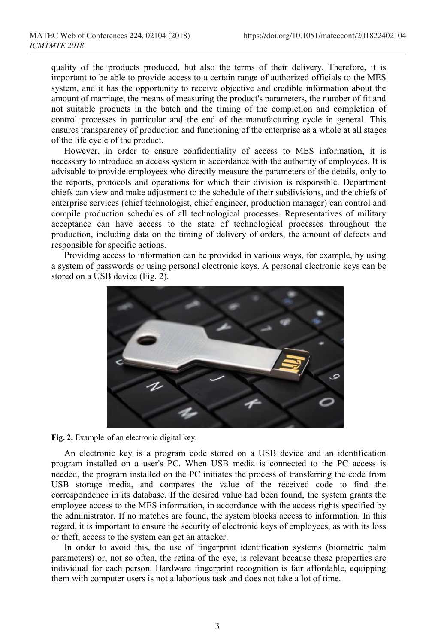quality of the products produced, but also the terms of their delivery. Therefore, it is important to be able to provide access to a certain range of authorized officials to the MES system, and it has the opportunity to receive objective and credible information about the amount of marriage, the means of measuring the product's parameters, the number of fit and not suitable products in the batch and the timing of the completion and completion of control processes in particular and the end of the manufacturing cycle in general. This ensures transparency of production and functioning of the enterprise as a whole at all stages of the life cycle of the product.

However, in order to ensure confidentiality of access to MES information, it is necessary to introduce an access system in accordance with the authority of employees. It is advisable to provide employees who directly measure the parameters of the details, only to the reports, protocols and operations for which their division is responsible. Department chiefs can view and make adjustment to the schedule of their subdivisions, and the chiefs of enterprise services (chief technologist, chief engineer, production manager) can control and compile production schedules of all technological processes. Representatives of military acceptance can have access to the state of technological processes throughout the production, including data on the timing of delivery of orders, the amount of defects and responsible for specific actions.

Providing access to information can be provided in various ways, for example, by using a system of passwords or using personal electronic keys. A personal electronic keys can be stored on a USB device (Fig. 2).



**Fig. 2.** Example of an electronic digital key.

An electronic key is a program code stored on a USB device and an identification program installed on a user's PC. When USB media is connected to the PC access is needed, the program installed on the PC initiates the process of transferring the code from USB storage media, and compares the value of the received code to find the correspondence in its database. If the desired value had been found, the system grants the employee access to the MES information, in accordance with the access rights specified by the administrator. If no matches are found, the system blocks access to information. In this regard, it is important to ensure the security of electronic keys of employees, as with its loss or theft, access to the system can get an attacker.

In order to avoid this, the use of fingerprint identification systems (biometric palm parameters) or, not so often, the retina of the eye, is relevant because these properties are individual for each person. Hardware fingerprint recognition is fair affordable, equipping them with computer users is not a laborious task and does not take a lot of time.